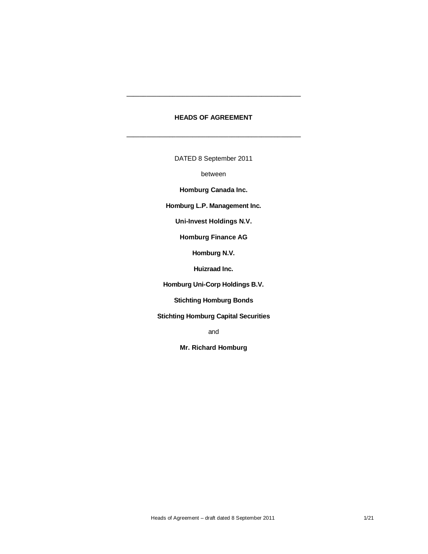## **HEADS OF AGREEMENT**

\_\_\_\_\_\_\_\_\_\_\_\_\_\_\_\_\_\_\_\_\_\_\_\_\_\_\_\_\_\_\_\_\_\_\_\_\_\_\_\_\_\_\_\_\_\_\_\_\_\_\_\_\_

\_\_\_\_\_\_\_\_\_\_\_\_\_\_\_\_\_\_\_\_\_\_\_\_\_\_\_\_\_\_\_\_\_\_\_\_\_\_\_\_\_\_\_\_\_\_\_\_\_\_\_\_\_

DATED 8 September 2011

between

**Homburg Canada Inc.**

**Homburg L.P. Management Inc.**

**Uni-Invest Holdings N.V.**

**Homburg Finance AG**

**Homburg N.V.**

**Huizraad Inc.**

**Homburg Uni-Corp Holdings B.V.**

**Stichting Homburg Bonds**

**Stichting Homburg Capital Securities**

and

**Mr. Richard Homburg**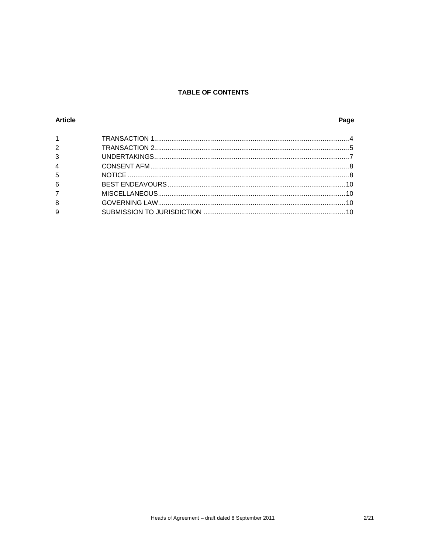# **TABLE OF CONTENTS**

## **Article**

# Page

| $1 \quad \blacksquare$ |  |
|------------------------|--|
| $2^{\circ}$            |  |
| $\mathbf{3}$           |  |
| $\overline{4}$         |  |
| $5\overline{5}$        |  |
| $6\phantom{a}$         |  |
| 7 <sup>7</sup>         |  |
| 8                      |  |
| $\overline{9}$         |  |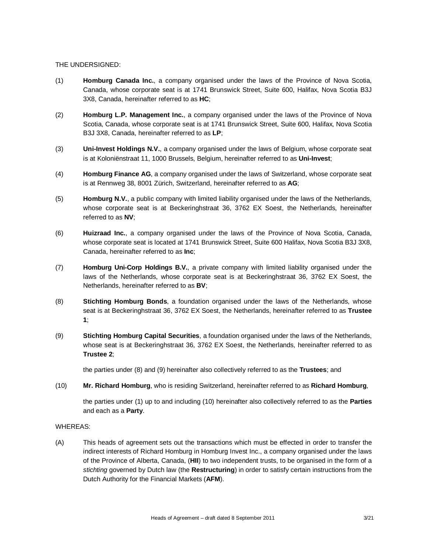#### THE UNDERSIGNED:

- (1) **Homburg Canada Inc.**, a company organised under the laws of the Province of Nova Scotia, Canada, whose corporate seat is at 1741 Brunswick Street, Suite 600, Halifax, Nova Scotia B3J 3X8, Canada, hereinafter referred to as **HC**;
- (2) **Homburg L.P. Management Inc.**, a company organised under the laws of the Province of Nova Scotia, Canada, whose corporate seat is at 1741 Brunswick Street, Suite 600, Halifax, Nova Scotia B3J 3X8, Canada, hereinafter referred to as **LP**;
- (3) **Uni-Invest Holdings N.V.**, a company organised under the laws of Belgium, whose corporate seat is at Koloniënstraat 11, 1000 Brussels, Belgium, hereinafter referred to as **Uni-Invest**;
- (4) **Homburg Finance AG**, a company organised under the laws of Switzerland, whose corporate seat is at Rennweg 38, 8001 Zürich, Switzerland, hereinafter referred to as **AG**;
- (5) **Homburg N.V.**, a public company with limited liability organised under the laws of the Netherlands, whose corporate seat is at Beckeringhstraat 36, 3762 EX Soest, the Netherlands, hereinafter referred to as **NV**;
- (6) **Huizraad Inc.**, a company organised under the laws of the Province of Nova Scotia, Canada, whose corporate seat is located at 1741 Brunswick Street, Suite 600 Halifax, Nova Scotia B3J 3X8, Canada, hereinafter referred to as **Inc**;
- (7) **Homburg Uni-Corp Holdings B.V.**, a private company with limited liability organised under the laws of the Netherlands, whose corporate seat is at Beckeringhstraat 36, 3762 EX Soest, the Netherlands, hereinafter referred to as **BV**;
- (8) **Stichting Homburg Bonds**, a foundation organised under the laws of the Netherlands, whose seat is at Beckeringhstraat 36, 3762 EX Soest, the Netherlands, hereinafter referred to as **Trustee 1**;
- (9) **Stichting Homburg Capital Securities**, a foundation organised under the laws of the Netherlands, whose seat is at Beckeringhstraat 36, 3762 EX Soest, the Netherlands, hereinafter referred to as **Trustee 2**;

the parties under (8) and (9) hereinafter also collectively referred to as the **Trustees**; and

(10) **Mr. Richard Homburg**, who is residing Switzerland, hereinafter referred to as **Richard Homburg**,

the parties under (1) up to and including (10) hereinafter also collectively referred to as the **Parties** and each as a **Party**.

### WHEREAS:

(A) This heads of agreement sets out the transactions which must be effected in order to transfer the indirect interests of Richard Homburg in Homburg Invest Inc., a company organised under the laws of the Province of Alberta, Canada, (**HII**) to two independent trusts, to be organised in the form of a *stichting* governed by Dutch law (the **Restructuring**) in order to satisfy certain instructions from the Dutch Authority for the Financial Markets (**AFM**).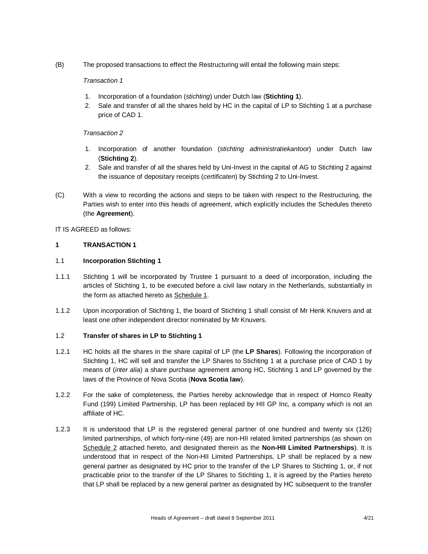(B) The proposed transactions to effect the Restructuring will entail the following main steps:

### *Transaction 1*

- 1. Incorporation of a foundation (*stichting*) under Dutch law (**Stichting 1**).
- 2. Sale and transfer of all the shares held by HC in the capital of LP to Stichting 1 at a purchase price of CAD 1.

### *Transaction 2*

- 1. Incorporation of another foundation (*stichting administratiekantoor*) under Dutch law (**Stichting 2**).
- 2. Sale and transfer of all the shares held by Uni-Invest in the capital of AG to Stichting 2 against the issuance of depositary receipts (*certificaten*) by Stichting 2 to Uni-Invest.
- (C) With a view to recording the actions and steps to be taken with respect to the Restructuring, the Parties wish to enter into this heads of agreement, which explicitly includes the Schedules thereto (the **Agreement**).

### IT IS AGREED as follows:

### **1 TRANSACTION 1**

### 1.1 **Incorporation Stichting 1**

- 1.1.1 Stichting 1 will be incorporated by Trustee 1 pursuant to a deed of incorporation, including the articles of Stichting 1, to be executed before a civil law notary in the Netherlands, substantially in the form as attached hereto as Schedule 1.
- 1.1.2 Upon incorporation of Stichting 1, the board of Stichting 1 shall consist of Mr Henk Knuvers and at least one other independent director nominated by Mr Knuvers.

### 1.2 **Transfer of shares in LP to Stichting 1**

- 1.2.1 HC holds all the shares in the share capital of LP (the **LP Shares**). Following the incorporation of Stichting 1, HC will sell and transfer the LP Shares to Stichting 1 at a purchase price of CAD 1 by means of (*inter alia*) a share purchase agreement among HC, Stichting 1 and LP governed by the laws of the Province of Nova Scotia (**Nova Scotia law**).
- 1.2.2 For the sake of completeness, the Parties hereby acknowledge that in respect of Homco Realty Fund (199) Limited Partnership, LP has been replaced by HII GP Inc, a company which is not an affiliate of HC.
- 1.2.3 It is understood that LP is the registered general partner of one hundred and twenty six (126) limited partnerships, of which forty-nine (49) are non-HII related limited partnerships (as shown on Schedule 2 attached hereto, and designated therein as the **Non-HII Limited Partnerships**). It is understood that in respect of the Non-HII Limited Partnerships, LP shall be replaced by a new general partner as designated by HC prior to the transfer of the LP Shares to Stichting 1, or, if not practicable prior to the transfer of the LP Shares to Stichting 1, it is agreed by the Parties hereto that LP shall be replaced by a new general partner as designated by HC subsequent to the transfer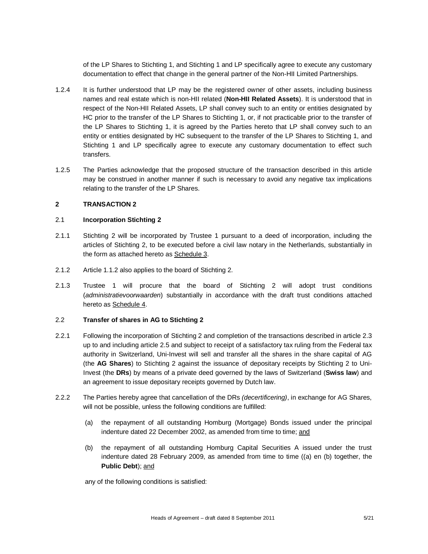of the LP Shares to Stichting 1, and Stichting 1 and LP specifically agree to execute any customary documentation to effect that change in the general partner of the Non-HII Limited Partnerships.

- 1.2.4 It is further understood that LP may be the registered owner of other assets, including business names and real estate which is non-HII related (**Non-HII Related Assets**). It is understood that in respect of the Non-HII Related Assets, LP shall convey such to an entity or entities designated by HC prior to the transfer of the LP Shares to Stichting 1, or, if not practicable prior to the transfer of the LP Shares to Stichting 1, it is agreed by the Parties hereto that LP shall convey such to an entity or entities designated by HC subsequent to the transfer of the LP Shares to Stichting 1, and Stichting 1 and LP specifically agree to execute any customary documentation to effect such transfers.
- 1.2.5 The Parties acknowledge that the proposed structure of the transaction described in this article may be construed in another manner if such is necessary to avoid any negative tax implications relating to the transfer of the LP Shares.

### **2 TRANSACTION 2**

#### 2.1 **Incorporation Stichting 2**

- 2.1.1 Stichting 2 will be incorporated by Trustee 1 pursuant to a deed of incorporation, including the articles of Stichting 2, to be executed before a civil law notary in the Netherlands, substantially in the form as attached hereto as Schedule 3.
- 2.1.2 Article 1.1.2 also applies to the board of Stichting 2.
- 2.1.3 Trustee 1 will procure that the board of Stichting 2 will adopt trust conditions (*administratievoorwaarden*) substantially in accordance with the draft trust conditions attached hereto as Schedule 4.

#### 2.2 **Transfer of shares in AG to Stichting 2**

- 2.2.1 Following the incorporation of Stichting 2 and completion of the transactions described in article 2.3 up to and including article 2.5 and subject to receipt of a satisfactory tax ruling from the Federal tax authority in Switzerland, Uni-Invest will sell and transfer all the shares in the share capital of AG (the **AG Shares**) to Stichting 2 against the issuance of depositary receipts by Stichting 2 to Uni-Invest (the **DRs**) by means of a private deed governed by the laws of Switzerland (**Swiss law**) and an agreement to issue depositary receipts governed by Dutch law.
- 2.2.2 The Parties hereby agree that cancellation of the DRs *(decertificering)*, in exchange for AG Shares, will not be possible, unless the following conditions are fulfilled:
	- (a) the repayment of all outstanding Homburg (Mortgage) Bonds issued under the principal indenture dated 22 December 2002, as amended from time to time; and
	- (b) the repayment of all outstanding Homburg Capital Securities A issued under the trust indenture dated 28 February 2009, as amended from time to time ((a) en (b) together, the **Public Debt**); and

any of the following conditions is satisfied: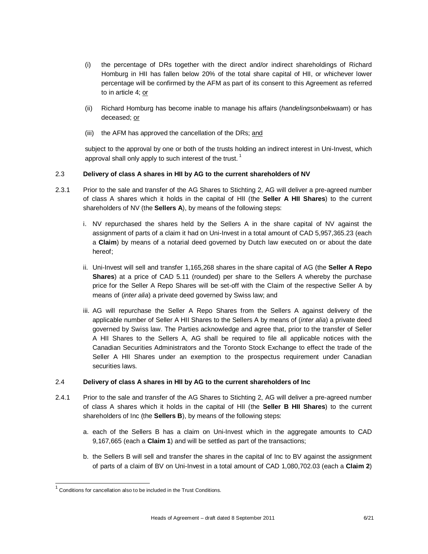- (i) the percentage of DRs together with the direct and/or indirect shareholdings of Richard Homburg in HII has fallen below 20% of the total share capital of HII, or whichever lower percentage will be confirmed by the AFM as part of its consent to this Agreement as referred to in article 4; or
- (ii) Richard Homburg has become inable to manage his affairs (*handelingsonbekwaam*) or has deceased; or
- (iii) the AFM has approved the cancellation of the DRs; and

subject to the approval by one or both of the trusts holding an indirect interest in Uni-Invest, which approval shall only apply to such interest of the trust.<sup>1</sup>

### 2.3 **Delivery of class A shares in HII by AG to the current shareholders of NV**

- 2.3.1 Prior to the sale and transfer of the AG Shares to Stichting 2, AG will deliver a pre-agreed number of class A shares which it holds in the capital of HII (the **Seller A HII Shares**) to the current shareholders of NV (the **Sellers A**), by means of the following steps:
	- i. NV repurchased the shares held by the Sellers A in the share capital of NV against the assignment of parts of a claim it had on Uni-Invest in a total amount of CAD 5,957,365.23 (each a **Claim**) by means of a notarial deed governed by Dutch law executed on or about the date hereof;
	- ii. Uni-Invest will sell and transfer 1,165,268 shares in the share capital of AG (the **Seller A Repo Shares**) at a price of CAD 5.11 (rounded) per share to the Sellers A whereby the purchase price for the Seller A Repo Shares will be set-off with the Claim of the respective Seller A by means of (*inter alia*) a private deed governed by Swiss law; and
	- iii. AG will repurchase the Seller A Repo Shares from the Sellers A against delivery of the applicable number of Seller A HII Shares to the Sellers A by means of (*inter alia*) a private deed governed by Swiss law. The Parties acknowledge and agree that, prior to the transfer of Seller A HII Shares to the Sellers A, AG shall be required to file all applicable notices with the Canadian Securities Administrators and the Toronto Stock Exchange to effect the trade of the Seller A HII Shares under an exemption to the prospectus requirement under Canadian securities laws.

### 2.4 **Delivery of class A shares in HII by AG to the current shareholders of Inc**

- 2.4.1 Prior to the sale and transfer of the AG Shares to Stichting 2, AG will deliver a pre-agreed number of class A shares which it holds in the capital of HII (the **Seller B HII Shares**) to the current shareholders of Inc (the **Sellers B**), by means of the following steps:
	- a. each of the Sellers B has a claim on Uni-Invest which in the aggregate amounts to CAD 9,167,665 (each a **Claim 1**) and will be settled as part of the transactions;
	- b. the Sellers B will sell and transfer the shares in the capital of Inc to BV against the assignment of parts of a claim of BV on Uni-Invest in a total amount of CAD 1,080,702.03 (each a **Claim 2**)

 1 Conditions for cancellation also to be included in the Trust Conditions.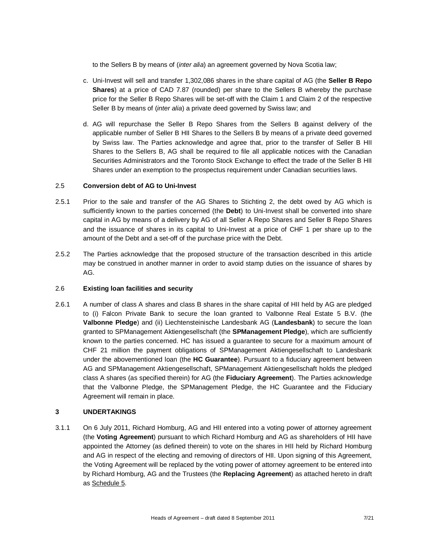to the Sellers B by means of (*inter alia*) an agreement governed by Nova Scotia law;

- c. Uni-Invest will sell and transfer 1,302,086 shares in the share capital of AG (the **Seller B Repo Shares**) at a price of CAD 7.87 (rounded) per share to the Sellers B whereby the purchase price for the Seller B Repo Shares will be set-off with the Claim 1 and Claim 2 of the respective Seller B by means of (*inter alia*) a private deed governed by Swiss law; and
- d. AG will repurchase the Seller B Repo Shares from the Sellers B against delivery of the applicable number of Seller B HII Shares to the Sellers B by means of a private deed governed by Swiss law. The Parties acknowledge and agree that, prior to the transfer of Seller B HII Shares to the Sellers B, AG shall be required to file all applicable notices with the Canadian Securities Administrators and the Toronto Stock Exchange to effect the trade of the Seller B HII Shares under an exemption to the prospectus requirement under Canadian securities laws.

#### 2.5 **Conversion debt of AG to Uni-Invest**

- 2.5.1 Prior to the sale and transfer of the AG Shares to Stichting 2, the debt owed by AG which is sufficiently known to the parties concerned (the **Debt**) to Uni-Invest shall be converted into share capital in AG by means of a delivery by AG of all Seller A Repo Shares and Seller B Repo Shares and the issuance of shares in its capital to Uni-Invest at a price of CHF 1 per share up to the amount of the Debt and a set-off of the purchase price with the Debt.
- 2.5.2 The Parties acknowledge that the proposed structure of the transaction described in this article may be construed in another manner in order to avoid stamp duties on the issuance of shares by AG.

### 2.6 **Existing loan facilities and security**

2.6.1 A number of class A shares and class B shares in the share capital of HII held by AG are pledged to (i) Falcon Private Bank to secure the loan granted to Valbonne Real Estate 5 B.V. (the **Valbonne Pledge**) and (ii) Liechtensteinische Landesbank AG (**Landesbank**) to secure the loan granted to SPManagement Aktiengesellschaft (the **SPManagement Pledge**), which are sufficiently known to the parties concerned. HC has issued a guarantee to secure for a maximum amount of CHF 21 million the payment obligations of SPManagement Aktiengesellschaft to Landesbank under the abovementioned loan (the **HC Guarantee**). Pursuant to a fiduciary agreement between AG and SPManagement Aktiengesellschaft, SPManagement Aktiengesellschaft holds the pledged class A shares (as specified therein) for AG (the **Fiduciary Agreement**). The Parties acknowledge that the Valbonne Pledge, the SPManagement Pledge, the HC Guarantee and the Fiduciary Agreement will remain in place.

### **3 UNDERTAKINGS**

3.1.1 On 6 July 2011, Richard Homburg, AG and HII entered into a voting power of attorney agreement (the **Voting Agreement**) pursuant to which Richard Homburg and AG as shareholders of HII have appointed the Attorney (as defined therein) to vote on the shares in HII held by Richard Homburg and AG in respect of the electing and removing of directors of HII. Upon signing of this Agreement, the Voting Agreement will be replaced by the voting power of attorney agreement to be entered into by Richard Homburg, AG and the Trustees (the **Replacing Agreement**) as attached hereto in draft as Schedule 5.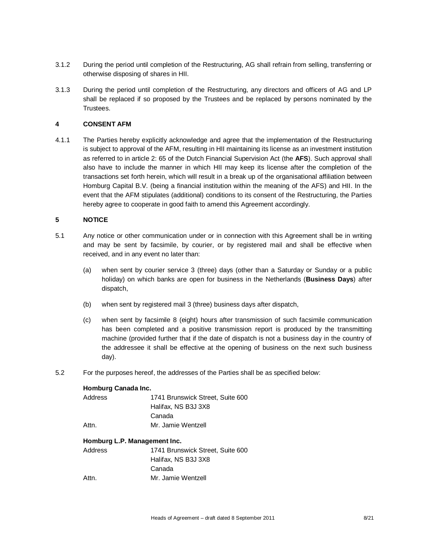- 3.1.2 During the period until completion of the Restructuring, AG shall refrain from selling, transferring or otherwise disposing of shares in HII.
- 3.1.3 During the period until completion of the Restructuring, any directors and officers of AG and LP shall be replaced if so proposed by the Trustees and be replaced by persons nominated by the Trustees.

#### **4 CONSENT AFM**

4.1.1 The Parties hereby explicitly acknowledge and agree that the implementation of the Restructuring is subject to approval of the AFM, resulting in HII maintaining its license as an investment institution as referred to in article 2: 65 of the Dutch Financial Supervision Act (the **AFS**). Such approval shall also have to include the manner in which HII may keep its license after the completion of the transactions set forth herein, which will result in a break up of the organisational affiliation between Homburg Capital B.V. (being a financial institution within the meaning of the AFS) and HII. In the event that the AFM stipulates (additional) conditions to its consent of the Restructuring, the Parties hereby agree to cooperate in good faith to amend this Agreement accordingly.

#### **5 NOTICE**

- 5.1 Any notice or other communication under or in connection with this Agreement shall be in writing and may be sent by facsimile, by courier, or by registered mail and shall be effective when received, and in any event no later than:
	- (a) when sent by courier service 3 (three) days (other than a Saturday or Sunday or a public holiday) on which banks are open for business in the Netherlands (**Business Days**) after dispatch,
	- (b) when sent by registered mail 3 (three) business days after dispatch,
	- (c) when sent by facsimile 8 (eight) hours after transmission of such facsimile communication has been completed and a positive transmission report is produced by the transmitting machine (provided further that if the date of dispatch is not a business day in the country of the addressee it shall be effective at the opening of business on the next such business day).
- 5.2 For the purposes hereof, the addresses of the Parties shall be as specified below:

#### **Homburg Canada Inc.**

| Address | 1741 Brunswick Street, Suite 600 |
|---------|----------------------------------|
|         | Halifax, NS B3J 3X8              |
|         | Canada                           |
| Attn.   | Mr. Jamie Wentzell               |

#### **Homburg L.P. Management Inc.**

| 1741 Brunswick Street. Suite 600 |
|----------------------------------|
| Halifax, NS B3J 3X8              |
| Canada                           |
| Mr. Jamie Wentzell               |
|                                  |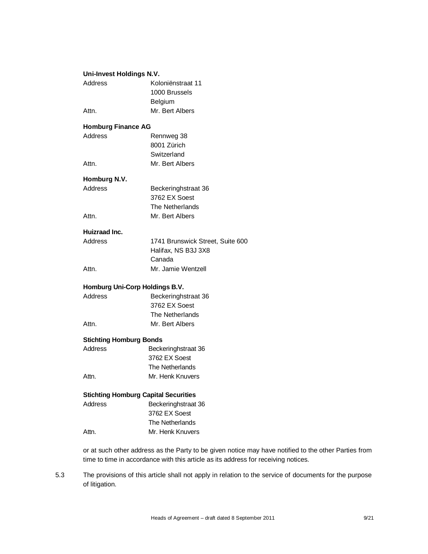| Uni-Invest Holdings N.V.                    |                                  |
|---------------------------------------------|----------------------------------|
| Address                                     | Koloniënstraat 11                |
|                                             | 1000 Brussels                    |
|                                             | Belgium                          |
| Attn.                                       | Mr. Bert Albers                  |
| <b>Homburg Finance AG</b>                   |                                  |
| Address                                     | Rennweg 38                       |
|                                             | 8001 Zürich                      |
|                                             | Switzerland                      |
| Attn.                                       | Mr. Bert Albers                  |
| Homburg N.V.                                |                                  |
| Address                                     | Beckeringhstraat 36              |
|                                             | 3762 EX Soest                    |
|                                             | The Netherlands                  |
| Attn.                                       | Mr. Bert Albers                  |
| Huizraad Inc.                               |                                  |
| Address                                     | 1741 Brunswick Street, Suite 600 |
|                                             | Halifax, NS B3J 3X8              |
|                                             | Canada                           |
| Attn.                                       | Mr. Jamie Wentzell               |
| Homburg Uni-Corp Holdings B.V.              |                                  |
| Address                                     | Beckeringhstraat 36              |
|                                             | 3762 EX Soest                    |
|                                             | The Netherlands                  |
| Attn.                                       | Mr. Bert Albers                  |
| <b>Stichting Homburg Bonds</b>              |                                  |
| <b>Address</b>                              | Beckeringhstraat 36              |
|                                             | 3762 EX Soest                    |
|                                             | The Netherlands                  |
| Attn.                                       | Mr. Henk Knuvers                 |
| <b>Stichting Homburg Capital Securities</b> |                                  |
| Address                                     | Beckeringhstraat 36              |
|                                             | 3762 EX Soest                    |
|                                             | The Netherlands                  |
| Attn.                                       | Mr. Henk Knuvers                 |
|                                             |                                  |

or at such other address as the Party to be given notice may have notified to the other Parties from time to time in accordance with this article as its address for receiving notices.

5.3 The provisions of this article shall not apply in relation to the service of documents for the purpose of litigation.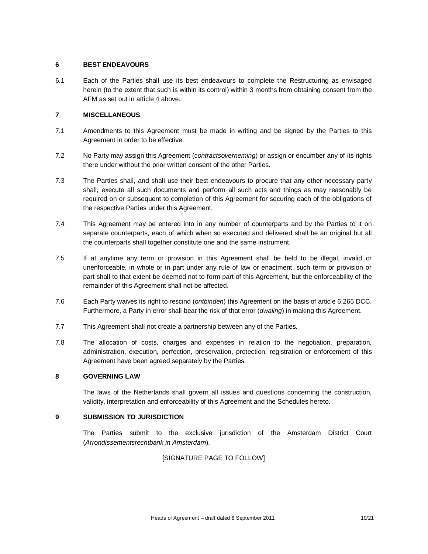#### **6 BEST ENDEAVOURS**

6.1 Each of the Parties shall use its best endeavours to complete the Restructuring as envisaged herein (to the extent that such is within its control) within 3 months from obtaining consent from the AFM as set out in article 4 above.

#### **7 MISCELLANEOUS**

- 7.1 Amendments to this Agreement must be made in writing and be signed by the Parties to this Agreement in order to be effective.
- 7.2 No Party may assign this Agreement (*contractsoverneming*) or assign or encumber any of its rights there under without the prior written consent of the other Parties.
- 7.3 The Parties shall, and shall use their best endeavours to procure that any other necessary party shall, execute all such documents and perform all such acts and things as may reasonably be required on or subsequent to completion of this Agreement for securing each of the obligations of the respective Parties under this Agreement.
- 7.4 This Agreement may be entered into in any number of counterparts and by the Parties to it on separate counterparts, each of which when so executed and delivered shall be an original but all the counterparts shall together constitute one and the same instrument.
- 7.5 If at anytime any term or provision in this Agreement shall be held to be illegal, invalid or unenforceable, in whole or in part under any rule of law or enactment, such term or provision or part shall to that extent be deemed not to form part of this Agreement, but the enforceability of the remainder of this Agreement shall not be affected.
- 7.6 Each Party waives its right to rescind (*ontbinden*) this Agreement on the basis of article 6:265 DCC. Furthermore, a Party in error shall bear the risk of that error (*dwaling*) in making this Agreement.
- 7.7 This Agreement shall not create a partnership between any of the Parties.
- 7.8 The allocation of costs, charges and expenses in relation to the negotiation, preparation, administration, execution, perfection, preservation, protection, registration or enforcement of this Agreement have been agreed separately by the Parties.

#### **8 GOVERNING LAW**

The laws of the Netherlands shall govern all issues and questions concerning the construction, validity, interpretation and enforceability of this Agreement and the Schedules hereto.

#### **9 SUBMISSION TO JURISDICTION**

The Parties submit to the exclusive jurisdiction of the Amsterdam District Court (*Arrondissementsrechtbank in Amsterdam*).

### [SIGNATURE PAGE TO FOLLOW]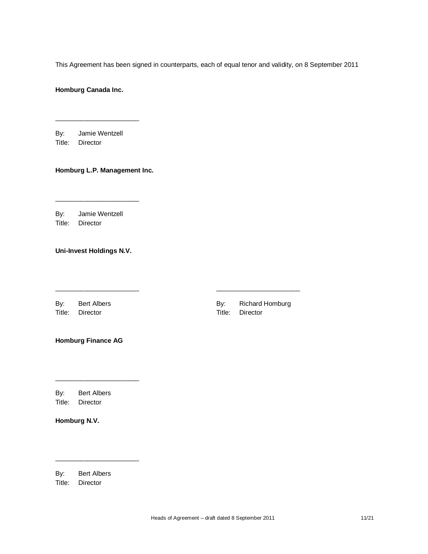This Agreement has been signed in counterparts, each of equal tenor and validity, on 8 September 2011

 $\frac{1}{2}$  ,  $\frac{1}{2}$  ,  $\frac{1}{2}$  ,  $\frac{1}{2}$  ,  $\frac{1}{2}$  ,  $\frac{1}{2}$  ,  $\frac{1}{2}$  ,  $\frac{1}{2}$  ,  $\frac{1}{2}$  ,  $\frac{1}{2}$  ,  $\frac{1}{2}$  ,  $\frac{1}{2}$  ,  $\frac{1}{2}$  ,  $\frac{1}{2}$  ,  $\frac{1}{2}$  ,  $\frac{1}{2}$  ,  $\frac{1}{2}$  ,  $\frac{1}{2}$  ,  $\frac{1$ 

**Homburg Canada Inc.**

By: Jamie Wentzell Title: Director

\_\_\_\_\_\_\_\_\_\_\_\_\_\_\_\_\_\_\_\_\_\_\_

#### **Homburg L.P. Management Inc.**

By: Jamie Wentzell Title: Director

\_\_\_\_\_\_\_\_\_\_\_\_\_\_\_\_\_\_\_\_\_\_\_

**Uni-Invest Holdings N.V.**

Title: Director Title: Director

By: Bert Albers **By:** Richard Homburg

**Homburg Finance AG**

\_\_\_\_\_\_\_\_\_\_\_\_\_\_\_\_\_\_\_\_\_\_\_

\_\_\_\_\_\_\_\_\_\_\_\_\_\_\_\_\_\_\_\_\_\_\_

By: Bert Albers Title: Director

**Homburg N.V.**

By: Bert Albers

Title: Director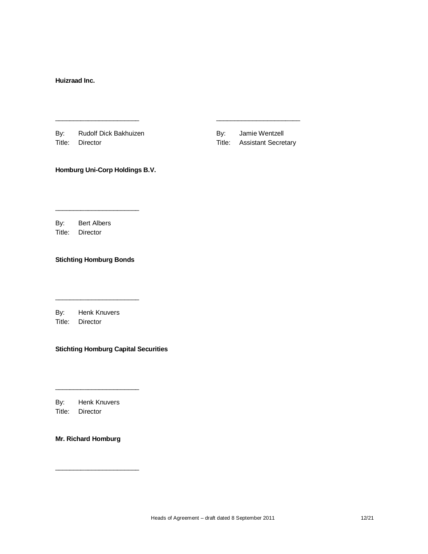**Huizraad Inc.**

By: Rudolf Dick Bakhuizen By: Jamie Wentzell Title: Director Title: Assistant Secretary

 $\frac{1}{2}$  ,  $\frac{1}{2}$  ,  $\frac{1}{2}$  ,  $\frac{1}{2}$  ,  $\frac{1}{2}$  ,  $\frac{1}{2}$  ,  $\frac{1}{2}$  ,  $\frac{1}{2}$  ,  $\frac{1}{2}$  ,  $\frac{1}{2}$  ,  $\frac{1}{2}$  ,  $\frac{1}{2}$  ,  $\frac{1}{2}$  ,  $\frac{1}{2}$  ,  $\frac{1}{2}$  ,  $\frac{1}{2}$  ,  $\frac{1}{2}$  ,  $\frac{1}{2}$  ,  $\frac{1$ 

**Homburg Uni-Corp Holdings B.V.**

By: Bert Albers Title: Director

**Stichting Homburg Bonds**

\_\_\_\_\_\_\_\_\_\_\_\_\_\_\_\_\_\_\_\_\_\_\_

By: Henk Knuvers

\_\_\_\_\_\_\_\_\_\_\_\_\_\_\_\_\_\_\_\_\_\_\_

Title: Director

**Stichting Homburg Capital Securities**

By: Henk Knuvers Title: Director

\_\_\_\_\_\_\_\_\_\_\_\_\_\_\_\_\_\_\_\_\_\_\_

**Mr. Richard Homburg**

\_\_\_\_\_\_\_\_\_\_\_\_\_\_\_\_\_\_\_\_\_\_\_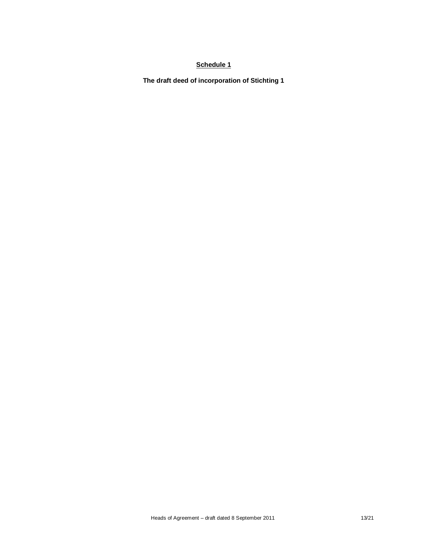**The draft deed of incorporation of Stichting 1**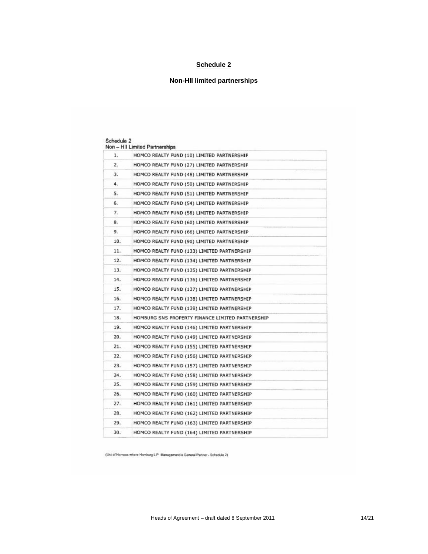# **Non-HII limited partnerships**

| 1.  | HOMCO REALTY FUND (10) LIMITED PARTNERSHIP       |
|-----|--------------------------------------------------|
| 2.  | HOMCO REALTY FUND (27) LIMITED PARTNERSHIP       |
| 3.  | HOMCO REALTY FUND (48) LIMITED PARTNERSHIP       |
| 4.  | HOMCO REALTY FUND (50) LIMITED PARTNERSHIP       |
| 5.  | HOMCO REALTY FUND (51) LIMITED PARTNERSHIP       |
| 6.  | HOMCO REALTY FUND (54) LIMITED PARTNERSHIP       |
| 7.  | HOMCO REALTY FUND (58) LIMITED PARTNERSHIP       |
| 8.  | HOMCO REALTY FUND (60) LIMITED PARTNERSHIP       |
| 9.  | HOMCO REALTY FUND (66) LIMITED PARTNERSHIP       |
| 10. | HOMCO REALTY FUND (90) LIMITED PARTNERSHIP       |
| 11. | HOMCO REALTY FUND (133) LIMITED PARTNERSHIP      |
| 12. | HOMCO REALTY FUND (134) LIMITED PARTNERSHIP      |
| 13. | HOMCO REALTY FUND (135) LIMITED PARTNERSHIP      |
| 14. | HOMCO REALTY FUND (136) LIMITED PARTNERSHIP      |
| 15. | HOMCO REALTY FUND (137) LIMITED PARTNERSHIP      |
| 16. | HOMCO REALTY FUND (138) LIMITED PARTNERSHIP      |
| 17. | HOMCO REALTY FUND (139) LIMITED PARTNERSHIP      |
| 18. | HOMBURG SNS PROPERTY FINANCE LIMITED PARTNERSHIP |
| 19. | HOMCO REALTY FUND (146) LIMITED PARTNERSHIP      |
| 20. | HOMCO REALTY FUND (149) LIMITED PARTNERSHIP      |
| 21. | HOMCO REALTY FUND (155) LIMITED PARTNERSHIP      |
| 22. | HOMCO REALTY FUND (156) LIMITED PARTNERSHIP      |
| 23. | HOMCO REALTY FUND (157) LIMITED PARTNERSHIP      |
| 24. | HOMCO REALTY FUND (158) LIMITED PARTNERSHIP      |
| 25. | HOMCO REALTY FUND (159) LIMITED PARTNERSHIP      |
| 26. | HOMCO REALTY FUND (160) LIMITED PARTNERSHIP      |
| 27. | HOMCO REALTY FUND (161) LIMITED PARTNERSHIP      |
| 28. | HOMCO REALTY FUND (162) LIMITED PARTNERSHIP      |
| 29. | HOMCO REALTY FUND (163) LIMITED PARTNERSHIP      |
| 30. | HOMCO REALTY FUND (164) LIMITED PARTNERSHIP      |

(Ust of Homcos where Homburg L P Management is General Partner - Schedule 2)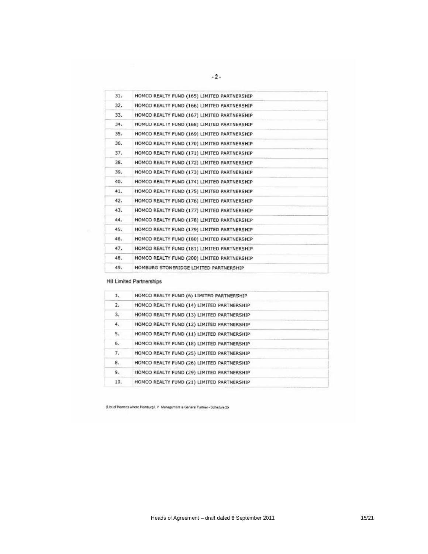| 31. | HOMCO REALTY FUND (165) LIMITED PARTNERSHIP |  |
|-----|---------------------------------------------|--|
| 32. | HOMCO REALTY FUND (166) LIMITED PARTNERSHIP |  |
| 33. | HOMCO REALTY FUND (167) LIMITED PARTNERSHIP |  |
| 34. | HOMCO REALTY FUND (168) LIMITED PARTNERSHIP |  |
| 35. | HOMCO REALTY FUND (169) LIMITED PARTNERSHIP |  |
| 36. | HOMCO REALTY FUND (170) LIMITED PARTNERSHIP |  |
| 37. | HOMCO REALTY FUND (171) LIMITED PARTNERSHIP |  |
| 38. | HOMCO REALTY FUND (172) LIMITED PARTNERSHIP |  |
| 39. | HOMCO REALTY FUND (173) LIMITED PARTNERSHIP |  |
| 40. | HOMCO REALTY FUND (174) LIMITED PARTNERSHIP |  |
| 41. | HOMCO REALTY FUND (175) LIMITED PARTNERSHIP |  |
| 42. | HOMCO REALTY FUND (176) LIMITED PARTNERSHIP |  |
| 43. | HOMCO REALTY FUND (177) LIMITED PARTNERSHIP |  |
| 44. | HOMCO REALTY FUND (178) LIMITED PARTNERSHIP |  |
| 45. | HOMCO REALTY FUND (179) LIMITED PARTNERSHIP |  |
| 46. | HOMCO REALTY FUND (180) LIMITED PARTNERSHIP |  |
| 47. | HOMCO REALTY FUND (181) LIMITED PARTNERSHIP |  |
| 48. | HOMCO REALTY FUND (200) LIMITED PARTNERSHIP |  |
| 49. | HOMBURG STONERIDGE LIMITED PARTNERSHIP      |  |

### **HII Limited Partnerships**

| 1.  | HOMCO REALTY FUND (6) LIMITED PARTNERSHIP  |  |
|-----|--------------------------------------------|--|
| 2.  | HOMCO REALTY FUND (14) LIMITED PARTNERSHIP |  |
| 3.  | HOMCO REALTY FUND (13) LIMITED PARTNERSHIP |  |
| 4.  | HOMCO REALTY FUND (12) LIMITED PARTNERSHIP |  |
| 5.  | HOMCO REALTY FUND (11) LIMITED PARTNERSHIP |  |
| 6.  | HOMCO REALTY FUND (18) LIMITED PARTNERSHIP |  |
| 7.  | HOMCO REALTY FUND (25) LIMITED PARTNERSHIP |  |
| 8.  | HOMCO REALTY FUND (26) LIMITED PARTNERSHIP |  |
| 9.  | HOMCO REALTY FUND (29) LIMITED PARTNERSHIP |  |
| 10. | HOMCO REALTY FUND (21) LIMITED PARTNERSHIP |  |
|     |                                            |  |

(List of Homcos where Homburg L P Management is General Partner - Schedule 2)

 $-2-$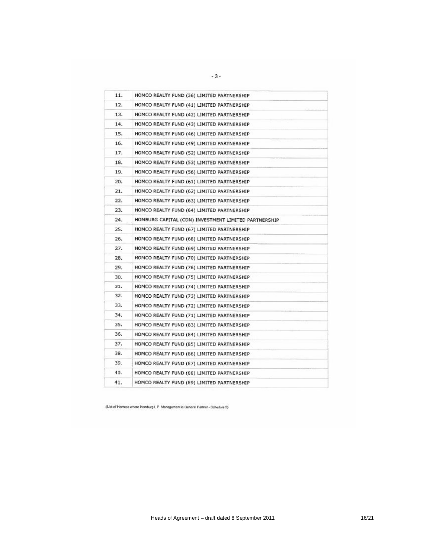| 11. | HOMCO REALTY FUND (36) LIMITED PARTNERSHIP           |  |
|-----|------------------------------------------------------|--|
| 12. | HOMCO REALTY FUND (41) LIMITED PARTNERSHIP           |  |
| 13. | HOMCO REALTY FUND (42) LIMITED PARTNERSHIP           |  |
| 14. | HOMCO REALTY FUND (43) LIMITED PARTNERSHIP           |  |
| 15. | HOMCO REALTY FUND (46) LIMITED PARTNERSHIP           |  |
| 16. | HOMCO REALTY FUND (49) LIMITED PARTNERSHIP           |  |
| 17. | HOMCO REALTY FUND (52) LIMITED PARTNERSHIP           |  |
| 18. | HOMCO REALTY FUND (53) LIMITED PARTNERSHIP           |  |
| 19. | HOMCO REALTY FUND (56) LIMITED PARTNERSHIP           |  |
| 20. | HOMCO REALTY FUND (61) LIMITED PARTNERSHIP           |  |
| 21. | HOMCO REALTY FUND (62) LIMITED PARTNERSHIP           |  |
| 22. | HOMCO REALTY FUND (63) LIMITED PARTNERSHIP           |  |
| 23. | HOMCO REALTY FUND (64) LIMITED PARTNERSHIP           |  |
| 24. | HOMBURG CAPITAL (CDN) INVESTMENT LIMITED PARTNERSHIP |  |
| 25. | HOMCO REALTY FUND (67) LIMITED PARTNERSHIP           |  |
| 26. | HOMCO REALTY FUND (68) LIMITED PARTNERSHIP           |  |
| 27. | HOMCO REALTY FUND (69) LIMITED PARTNERSHIP           |  |
| 28. | HOMCO REALTY FUND (70) LIMITED PARTNERSHIP           |  |
| 29. | HOMCO REALTY FUND (76) LIMITED PARTNERSHIP           |  |
| 30. | HOMCO REALTY FUND (75) LIMITED PARTNERSHIP           |  |
| 31. | HOMCO REALTY FUND (74) LIMITED PARTNERSHIP           |  |
| 32. | HOMCO REALTY FUND (73) LIMITED PARTNERSHIP           |  |
| 33. | HOMCO REALTY FUND (72) LIMITED PARTNERSHIP           |  |
| 34. | HOMCO REALTY FUND (71) LIMITED PARTNERSHIP           |  |
| 35. | HOMCO REALTY FUND (83) LIMITED PARTNERSHIP           |  |
| 36. | HOMCO REALTY FUND (84) LIMITED PARTNERSHIP           |  |
| 37. | HOMCO REALTY FUND (85) LIMITED PARTNERSHIP           |  |
| 38. | HOMCO REALTY FUND (86) LIMITED PARTNERSHIP           |  |
| 39. | HOMCO REALTY FUND (87) LIMITED PARTNERSHIP           |  |
| 40. | HOMCO REALTY FUND (88) LIMITED PARTNERSHIP           |  |
| 41. | HOMCO REALTY FUND (89) LIMITED PARTNERSHIP           |  |

(List of Hontos where Homburg L.P. Management is General Partner - Schedule 2)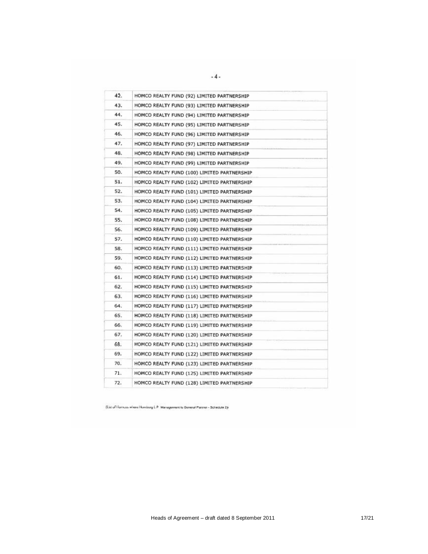| 42. | HOMCO REALTY FUND (92) LIMITED PARTNERSHIP  |
|-----|---------------------------------------------|
| 43. | HOMCO REALTY FUND (93) LIMITED PARTNERSHIP  |
| 44. | HOMCO REALTY FUND (94) LIMITED PARTNERSHIP  |
| 45. | HOMCO REALTY FUND (95) LIMITED PARTNERSHIP  |
| 46. | HOMCO REALTY FUND (96) LIMITED PARTNERSHIP  |
| 47. | HOMCO REALTY FUND (97) LIMITED PARTNERSHIP  |
| 48. | HOMCO REALTY FUND (98) LIMITED PARTNERSHIP  |
| 49. | HOMCO REALTY FUND (99) LIMITED PARTNERSHIP  |
| 50. | HOMCO REALTY FUND (100) LIMITED PARTNERSHIP |
| 51. | HOMCO REALTY FUND (102) LIMITED PARTNERSHIP |
| 52. | HOMCO REALTY FUND (101) LIMITED PARTNERSHIP |
| 53. | HOMCO REALTY FUND (104) LIMITED PARTNERSHIP |
| 54. | HOMCO REALTY FUND (105) LIMITED PARTNERSHIP |
| 55. | HOMCO REALTY FUND (108) LIMITED PARTNERSHIP |
| 56. | HOMCO REALTY FUND (109) LIMITED PARTNERSHIP |
| 57. | HOMCO REALTY FUND (110) LIMITED PARTNERSHIP |
| 58. | HOMCO REALTY FUND (111) LIMITED PARTNERSHIP |
| 59. | HOMCO REALTY FUND (112) LIMITED PARTNERSHIP |
| 60. | HOMCO REALTY FUND (113) LIMITED PARTNERSHIP |
| 61. | HOMCO REALTY FUND (114) LIMITED PARTNERSHIP |
| 62. | HOMCO REALTY FUND (115) LIMITED PARTNERSHIP |
| 63. | HOMCO REALTY FUND (116) LIMITED PARTNERSHIP |
| 64. | HOMCO REALTY FUND (117) LIMITED PARTNERSHIP |
| 65. | HOMCO REALTY FUND (118) LIMITED PARTNERSHIP |
| 66. | HOMCO REALTY FUND (119) LIMITED PARTNERSHIP |
| 67. | HOMCO REALTY FUND (120) LIMITED PARTNERSHIP |
| 68. | HOMCO REALTY FUND (121) LIMITED PARTNERSHIP |
| 69. | HOMCO REALTY FUND (122) LIMITED PARTNERSHIP |
| 70. | HOMCO REALTY FUND (123) LIMITED PARTNERSHIP |
| 71. | HOMCO REALTY FUND (125) LIMITED PARTNERSHIP |
| 72. | HOMCO REALTY FUND (128) LIMITED PARTNERSHIP |

(List of Homous where Homburg L P. Managements General Parent - Schedule 2):

 $-4-$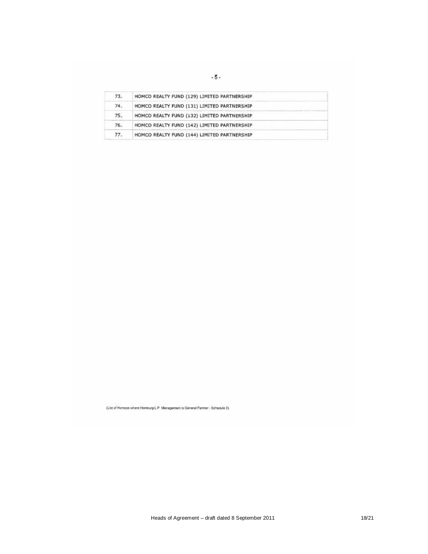| 73.   | HOMCO REALTY FUND (129) LIMITED PARTNERSHIP |  |
|-------|---------------------------------------------|--|
| 74.   | HOMCO REALTY FUND (131) LIMITED PARTNERSHIP |  |
| 75.   | HOMCO REALTY FUND (132) LIMITED PARTNERSHIP |  |
| $76-$ | HOMCO REALTY FUND (142) LIMITED PARTNERSHIP |  |
| 77.   | HOMCO REALTY FUND (144) LIMITED PARTNERSHIP |  |

(List of Homoos where Homburg L.P Management is General Partner - Schedule 2)

Heads of Agreement – draft dated 8 September 2011 18/21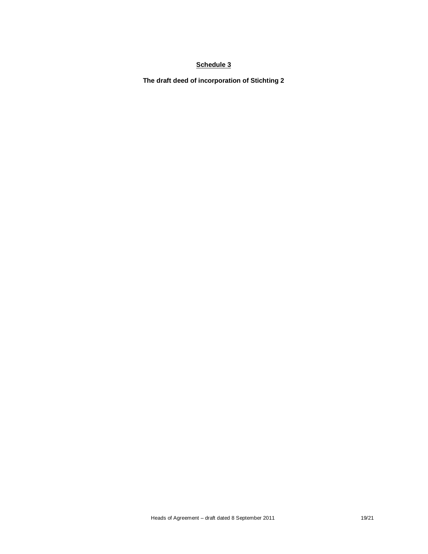**The draft deed of incorporation of Stichting 2**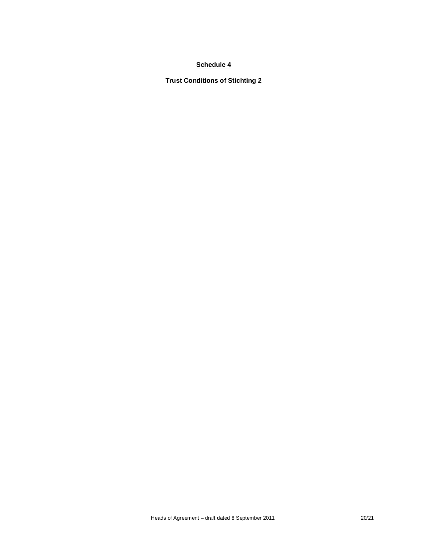**Trust Conditions of Stichting 2**